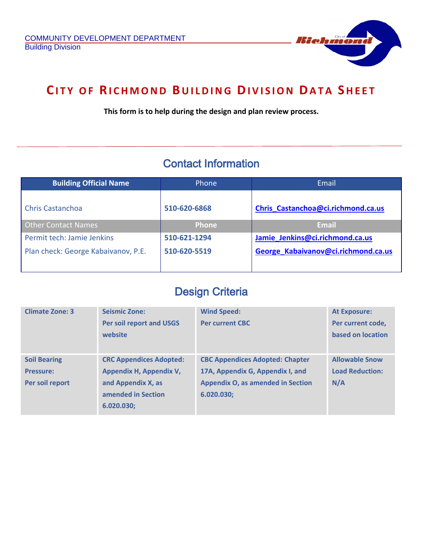Ï



## **CITY OF RICHMOND BUILDING DIVISION DATA SHEET**

**This form is to help during the design and plan review process.**

## Contact Information

| <b>Building Official Name</b>       | Phone        | Email                               |  |
|-------------------------------------|--------------|-------------------------------------|--|
| <b>Chris Castanchoa</b>             | 510-620-6868 | Chris Castanchoa@ci.richmond.ca.us  |  |
| <b>Other Contact Names</b>          | <b>Phone</b> | <b>Email</b>                        |  |
| Permit tech: Jamie Jenkins          | 510-621-1294 | Jamie Jenkins@ci.richmond.ca.us     |  |
| Plan check: George Kabaivanov, P.E. | 510-620-5519 | George Kabaivanov@ci.richmond.ca.us |  |

## Design Criteria

| <b>Climate Zone: 3</b>                                     | <b>Seismic Zone:</b><br><b>Per soil report and USGS</b><br>website                                                  | <b>Wind Speed:</b><br><b>Per current CBC</b>                                                                                         | <b>At Exposure:</b><br>Per current code,<br>based on location |
|------------------------------------------------------------|---------------------------------------------------------------------------------------------------------------------|--------------------------------------------------------------------------------------------------------------------------------------|---------------------------------------------------------------|
| <b>Soil Bearing</b><br><b>Pressure:</b><br>Per soil report | <b>CRC Appendices Adopted:</b><br>Appendix H, Appendix V,<br>and Appendix X, as<br>amended in Section<br>6.020.030; | <b>CBC Appendices Adopted: Chapter</b><br>17A, Appendix G, Appendix I, and<br><b>Appendix O, as amended in Section</b><br>6.020.030; | <b>Allowable Snow</b><br><b>Load Reduction:</b><br>N/A        |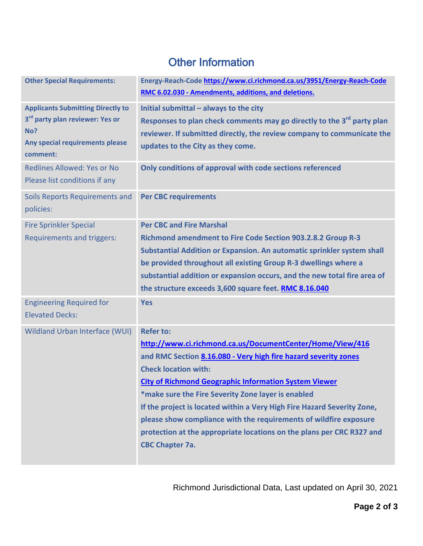## Other Information

| <b>Other Special Requirements:</b>                                                                                                            | Energy-Reach-Code https://www.ci.richmond.ca.us/3951/Energy-Reach-Code<br>RMC 6.02.030 - Amendments, additions, and deletions.                                                                                                                                                                                                                                                                                                                                                                                                                           |
|-----------------------------------------------------------------------------------------------------------------------------------------------|----------------------------------------------------------------------------------------------------------------------------------------------------------------------------------------------------------------------------------------------------------------------------------------------------------------------------------------------------------------------------------------------------------------------------------------------------------------------------------------------------------------------------------------------------------|
| <b>Applicants Submitting Directly to</b><br>3 <sup>rd</sup> party plan reviewer: Yes or<br>No?<br>Any special requirements please<br>comment: | Initial submittal - always to the city<br>Responses to plan check comments may go directly to the 3 <sup>rd</sup> party plan<br>reviewer. If submitted directly, the review company to communicate the<br>updates to the City as they come.                                                                                                                                                                                                                                                                                                              |
| <b>Redlines Allowed: Yes or No</b><br>Please list conditions if any                                                                           | Only conditions of approval with code sections referenced                                                                                                                                                                                                                                                                                                                                                                                                                                                                                                |
| Soils Reports Requirements and<br>policies:                                                                                                   | <b>Per CBC requirements</b>                                                                                                                                                                                                                                                                                                                                                                                                                                                                                                                              |
| <b>Fire Sprinkler Special</b><br>Requirements and triggers:                                                                                   | <b>Per CBC and Fire Marshal</b><br><b>Richmond amendment to Fire Code Section 903.2.8.2 Group R-3</b><br>Substantial Addition or Expansion. An automatic sprinkler system shall<br>be provided throughout all existing Group R-3 dwellings where a<br>substantial addition or expansion occurs, and the new total fire area of<br>the structure exceeds 3,600 square feet. RMC 8.16.040                                                                                                                                                                  |
| <b>Engineering Required for</b><br><b>Elevated Decks:</b>                                                                                     | <b>Yes</b>                                                                                                                                                                                                                                                                                                                                                                                                                                                                                                                                               |
| <b>Wildland Urban Interface (WUI)</b>                                                                                                         | <b>Refer to:</b><br>http://www.ci.richmond.ca.us/DocumentCenter/Home/View/416<br>and RMC Section 8.16.080 - Very high fire hazard severity zones<br><b>Check location with:</b><br><b>City of Richmond Geographic Information System Viewer</b><br>*make sure the Fire Severity Zone layer is enabled<br>If the project is located within a Very High Fire Hazard Severity Zone,<br>please show compliance with the requirements of wildfire exposure<br>protection at the appropriate locations on the plans per CRC R327 and<br><b>CBC Chapter 7a.</b> |